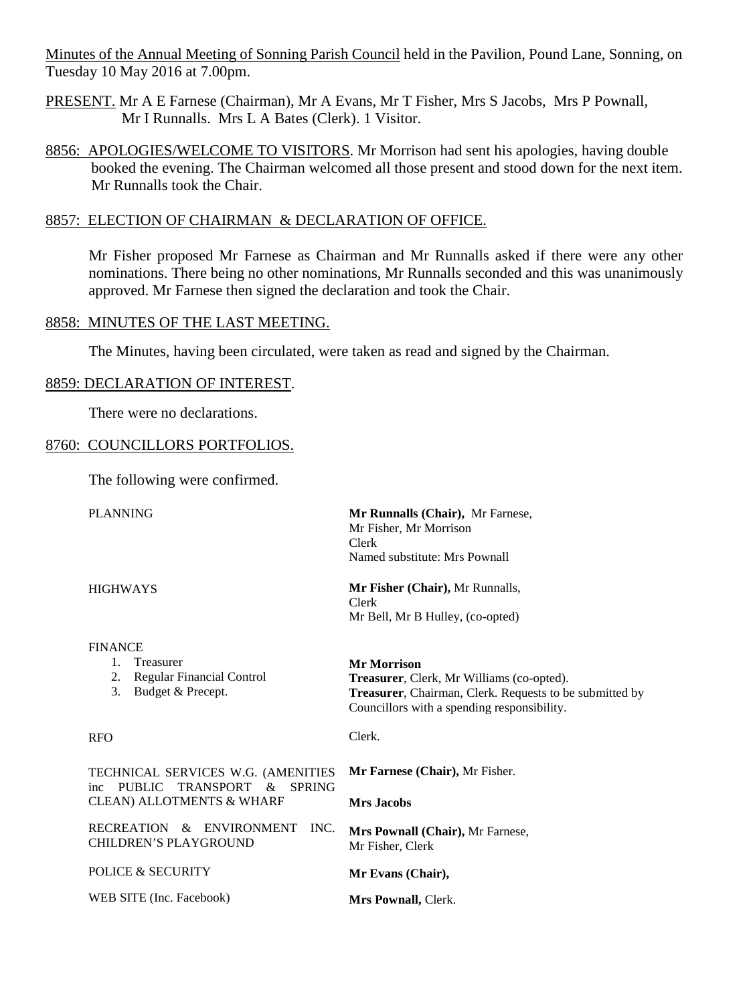Minutes of the Annual Meeting of Sonning Parish Council held in the Pavilion, Pound Lane, Sonning, on Tuesday 10 May 2016 at 7.00pm.

- PRESENT. Mr A E Farnese (Chairman), Mr A Evans, Mr T Fisher, Mrs S Jacobs, Mrs P Pownall, Mr I Runnalls. Mrs L A Bates (Clerk). 1 Visitor.
- 8856: APOLOGIES/WELCOME TO VISITORS. Mr Morrison had sent his apologies, having double booked the evening. The Chairman welcomed all those present and stood down for the next item. Mr Runnalls took the Chair.

### 8857: ELECTION OF CHAIRMAN & DECLARATION OF OFFICE.

Mr Fisher proposed Mr Farnese as Chairman and Mr Runnalls asked if there were any other nominations. There being no other nominations, Mr Runnalls seconded and this was unanimously approved. Mr Farnese then signed the declaration and took the Chair.

### 8858: MINUTES OF THE LAST MEETING.

The Minutes, having been circulated, were taken as read and signed by the Chairman.

#### 8859: DECLARATION OF INTEREST.

There were no declarations.

#### 8760: COUNCILLORS PORTFOLIOS.

The following were confirmed.

| <b>PLANNING</b>                                                                                                           | Mr Runnalls (Chair), Mr Farnese,<br>Mr Fisher, Mr Morrison<br>Clerk<br>Named substitute: Mrs Pownall                                                                      |  |  |  |  |
|---------------------------------------------------------------------------------------------------------------------------|---------------------------------------------------------------------------------------------------------------------------------------------------------------------------|--|--|--|--|
| <b>HIGHWAYS</b>                                                                                                           | Mr Fisher (Chair), Mr Runnalls,<br>Clerk<br>Mr Bell, Mr B Hulley, (co-opted)                                                                                              |  |  |  |  |
| <b>FINANCE</b><br>$1_{-}$<br>Treasurer<br><b>Regular Financial Control</b><br>2.<br>3.<br>Budget & Precept.               | <b>Mr Morrison</b><br>Treasurer, Clerk, Mr Williams (co-opted).<br>Treasurer, Chairman, Clerk. Requests to be submitted by<br>Councillors with a spending responsibility. |  |  |  |  |
| <b>RFO</b>                                                                                                                | Clerk.                                                                                                                                                                    |  |  |  |  |
| TECHNICAL SERVICES W.G. (AMENITIES<br>PUBLIC TRANSPORT &<br><b>SPRING</b><br>inc.<br><b>CLEAN) ALLOTMENTS &amp; WHARF</b> | Mr Farnese (Chair), Mr Fisher.<br><b>Mrs Jacobs</b>                                                                                                                       |  |  |  |  |
| RECREATION & ENVIRONMENT<br>INC.<br>CHILDREN'S PLAYGROUND                                                                 | Mrs Pownall (Chair), Mr Farnese,<br>Mr Fisher, Clerk                                                                                                                      |  |  |  |  |
| <b>POLICE &amp; SECURITY</b>                                                                                              | Mr Evans (Chair),                                                                                                                                                         |  |  |  |  |
| WEB SITE (Inc. Facebook)                                                                                                  | Mrs Pownall, Clerk.                                                                                                                                                       |  |  |  |  |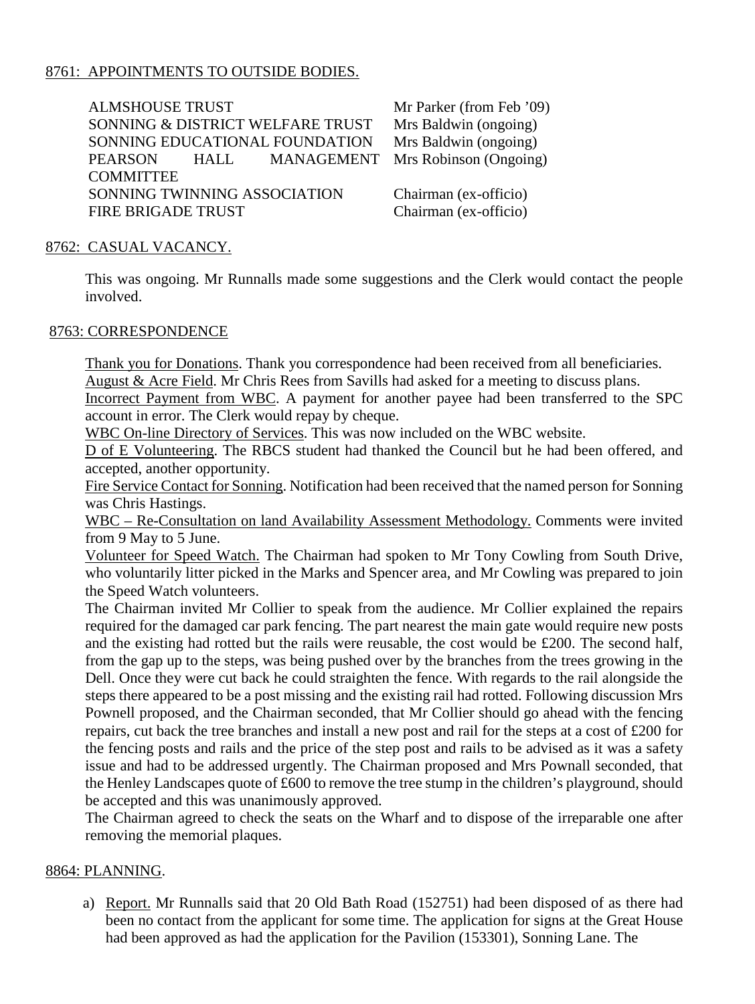## 8761: APPOINTMENTS TO OUTSIDE BODIES.

ALMSHOUSE TRUST SONNING & DISTRICT WELFARE TRUST SONNING EDUCATIONAL FOUNDATION PEARSON HALL MANAGEMENT **COMMITTEE** SONNING TWINNING ASSOCIATION FIRE BRIGADE TRUST Mr Parker (from Feb '09) Mrs Baldwin (ongoing) Mrs Baldwin (ongoing) Mrs Robinson (Ongoing) Chairman (ex-officio) Chairman (ex-officio)

### 8762: CASUAL VACANCY.

This was ongoing. Mr Runnalls made some suggestions and the Clerk would contact the people involved.

### 8763: CORRESPONDENCE

Thank you for Donations. Thank you correspondence had been received from all beneficiaries. August & Acre Field. Mr Chris Rees from Savills had asked for a meeting to discuss plans.

Incorrect Payment from WBC. A payment for another payee had been transferred to the SPC account in error. The Clerk would repay by cheque.

WBC On-line Directory of Services. This was now included on the WBC website.

D of E Volunteering. The RBCS student had thanked the Council but he had been offered, and accepted, another opportunity.

Fire Service Contact for Sonning. Notification had been received that the named person for Sonning was Chris Hastings.

WBC – Re-Consultation on land Availability Assessment Methodology. Comments were invited from 9 May to 5 June.

Volunteer for Speed Watch. The Chairman had spoken to Mr Tony Cowling from South Drive, who voluntarily litter picked in the Marks and Spencer area, and Mr Cowling was prepared to join the Speed Watch volunteers.

The Chairman invited Mr Collier to speak from the audience. Mr Collier explained the repairs required for the damaged car park fencing. The part nearest the main gate would require new posts and the existing had rotted but the rails were reusable, the cost would be £200. The second half, from the gap up to the steps, was being pushed over by the branches from the trees growing in the Dell. Once they were cut back he could straighten the fence. With regards to the rail alongside the steps there appeared to be a post missing and the existing rail had rotted. Following discussion Mrs Pownell proposed, and the Chairman seconded, that Mr Collier should go ahead with the fencing repairs, cut back the tree branches and install a new post and rail for the steps at a cost of £200 for the fencing posts and rails and the price of the step post and rails to be advised as it was a safety issue and had to be addressed urgently. The Chairman proposed and Mrs Pownall seconded, that the Henley Landscapes quote of £600 to remove the tree stump in the children's playground, should be accepted and this was unanimously approved.

The Chairman agreed to check the seats on the Wharf and to dispose of the irreparable one after removing the memorial plaques.

### 8864: PLANNING.

a) Report. Mr Runnalls said that 20 Old Bath Road (152751) had been disposed of as there had been no contact from the applicant for some time. The application for signs at the Great House had been approved as had the application for the Pavilion (153301), Sonning Lane. The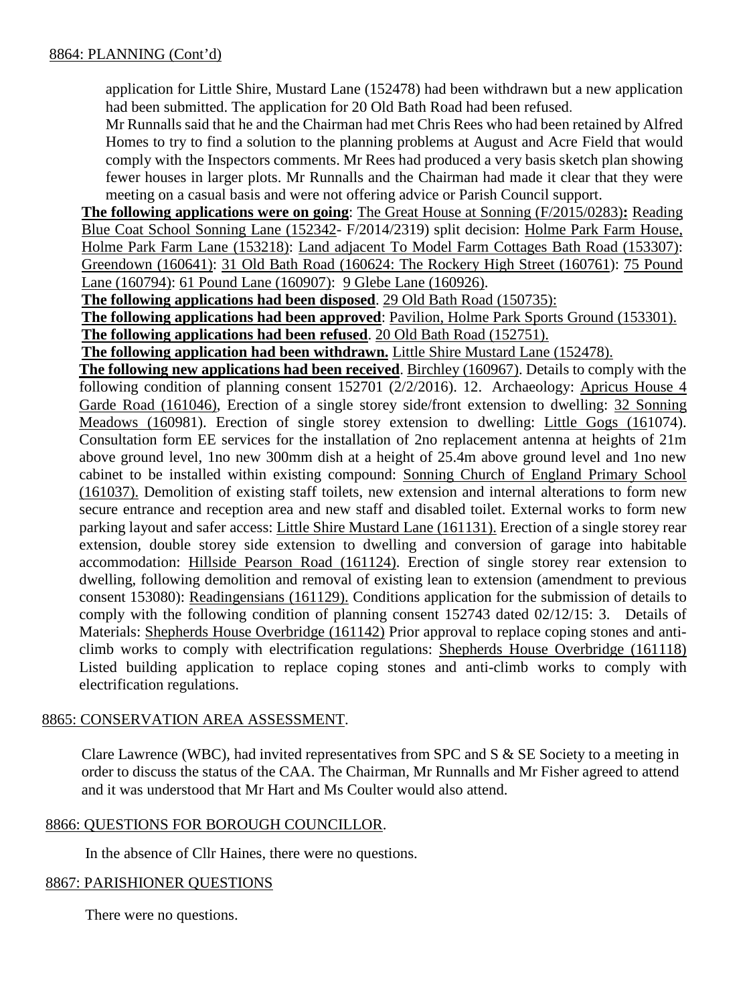application for Little Shire, Mustard Lane (152478) had been withdrawn but a new application had been submitted. The application for 20 Old Bath Road had been refused.

Mr Runnalls said that he and the Chairman had met Chris Rees who had been retained by Alfred Homes to try to find a solution to the planning problems at August and Acre Field that would comply with the Inspectors comments. Mr Rees had produced a very basis sketch plan showing fewer houses in larger plots. Mr Runnalls and the Chairman had made it clear that they were meeting on a casual basis and were not offering advice or Parish Council support.

**The following applications were on going**: The Great House at Sonning (F/2015/0283)**:** Reading Blue Coat School Sonning Lane (152342- F/2014/2319) split decision: Holme Park Farm House, Holme Park Farm Lane (153218): Land adjacent To Model Farm Cottages Bath Road (153307): Greendown (160641): 31 Old Bath Road (160624: The Rockery High Street (160761): 75 Pound Lane (160794): 61 Pound Lane (160907): 9 Glebe Lane (160926).

**The following applications had been disposed**. 29 Old Bath Road (150735):

**The following applications had been approved**: Pavilion, Holme Park Sports Ground (153301).

**The following applications had been refused**. 20 Old Bath Road (152751).

**The following application had been withdrawn.** Little Shire Mustard Lane (152478).

**The following new applications had been received**. Birchley (160967). Details to comply with the following condition of planning consent 152701 (2/2/2016). 12. Archaeology: Apricus House 4 Garde Road (161046), Erection of a single storey side/front extension to dwelling: 32 Sonning Meadows (160981). Erection of single storey extension to dwelling: Little Gogs (161074). Consultation form EE services for the installation of 2no replacement antenna at heights of 21m above ground level, 1no new 300mm dish at a height of 25.4m above ground level and 1no new cabinet to be installed within existing compound: Sonning Church of England Primary School (161037). Demolition of existing staff toilets, new extension and internal alterations to form new secure entrance and reception area and new staff and disabled toilet. External works to form new parking layout and safer access: Little Shire Mustard Lane (161131). Erection of a single storey rear extension, double storey side extension to dwelling and conversion of garage into habitable accommodation: Hillside Pearson Road (161124). Erection of single storey rear extension to dwelling, following demolition and removal of existing lean to extension (amendment to previous consent 153080): Readingensians (161129). Conditions application for the submission of details to comply with the following condition of planning consent 152743 dated 02/12/15: 3. Details of Materials: Shepherds House Overbridge (161142) Prior approval to replace coping stones and anticlimb works to comply with electrification regulations: Shepherds House Overbridge (161118) Listed building application to replace coping stones and anti-climb works to comply with electrification regulations.

# 8865: CONSERVATION AREA ASSESSMENT.

Clare Lawrence (WBC), had invited representatives from SPC and S & SE Society to a meeting in order to discuss the status of the CAA. The Chairman, Mr Runnalls and Mr Fisher agreed to attend and it was understood that Mr Hart and Ms Coulter would also attend.

# 8866: QUESTIONS FOR BOROUGH COUNCILLOR.

In the absence of Cllr Haines, there were no questions.

# 8867: PARISHIONER QUESTIONS

There were no questions.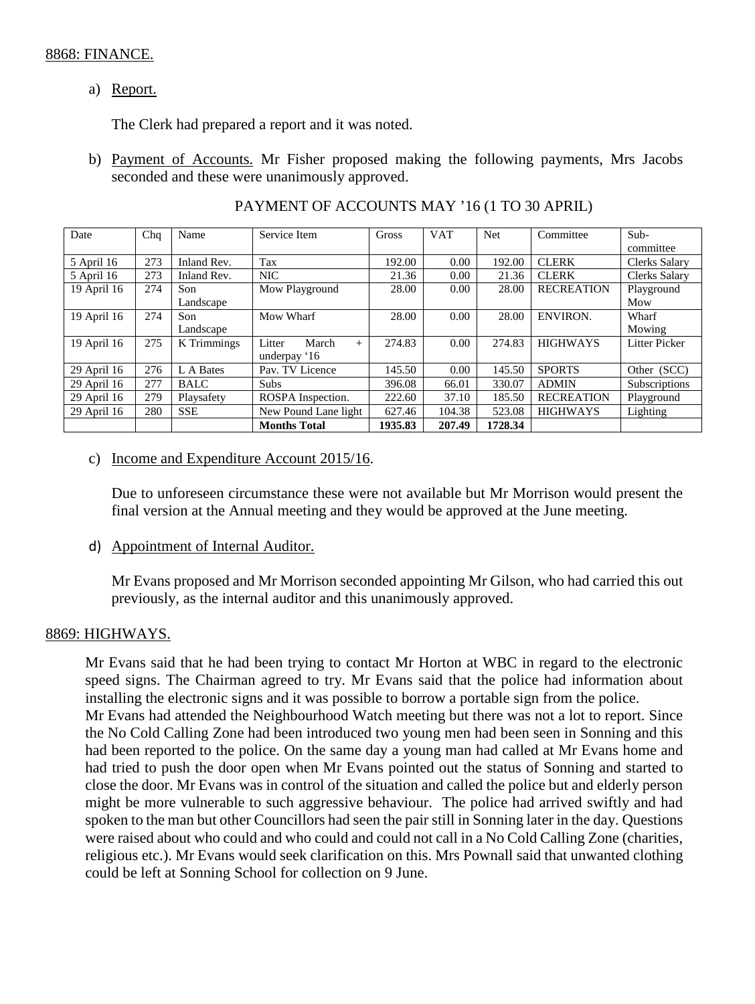### 8868: FINANCE.

# a) Report.

The Clerk had prepared a report and it was noted.

b) Payment of Accounts. Mr Fisher proposed making the following payments, Mrs Jacobs seconded and these were unanimously approved.

| Date        | Chq | Name        | Service Item              | Gross   | <b>VAT</b> | <b>Net</b> | Committee         | Sub-                 |
|-------------|-----|-------------|---------------------------|---------|------------|------------|-------------------|----------------------|
|             |     |             |                           |         |            |            |                   | committee            |
| 5 April 16  | 273 | Inland Rev. | Tax                       | 192.00  | 0.00       | 192.00     | <b>CLERK</b>      | <b>Clerks Salary</b> |
| 5 April 16  | 273 | Inland Rev. | <b>NIC</b>                | 21.36   | 0.00       | 21.36      | <b>CLERK</b>      | <b>Clerks Salary</b> |
| 19 April 16 | 274 | Son         | Mow Playground            | 28.00   | 0.00       | 28.00      | <b>RECREATION</b> | Playground           |
|             |     | Landscape   |                           |         |            |            |                   | Mow                  |
| 19 April 16 | 274 | Son         | Mow Wharf                 | 28.00   | 0.00       | 28.00      | <b>ENVIRON.</b>   | Wharf                |
|             |     | Landscape   |                           |         |            |            |                   | Mowing               |
| 19 April 16 | 275 | K Trimmings | Litter<br>March<br>$^{+}$ | 274.83  | 0.00       | 274.83     | <b>HIGHWAYS</b>   | <b>Litter Picker</b> |
|             |     |             | underpay '16              |         |            |            |                   |                      |
| 29 April 16 | 276 | L A Bates   | Pav. TV Licence           | 145.50  | 0.00       | 145.50     | <b>SPORTS</b>     | Other (SCC)          |
| 29 April 16 | 277 | <b>BALC</b> | <b>Subs</b>               | 396.08  | 66.01      | 330.07     | <b>ADMIN</b>      | Subscriptions        |
| 29 April 16 | 279 | Playsafety  | ROSPA Inspection.         | 222.60  | 37.10      | 185.50     | <b>RECREATION</b> | Playground           |
| 29 April 16 | 280 | <b>SSE</b>  | New Pound Lane light      | 627.46  | 104.38     | 523.08     | <b>HIGHWAYS</b>   | Lighting             |
|             |     |             | <b>Months Total</b>       | 1935.83 | 207.49     | 1728.34    |                   |                      |

## PAYMENT OF ACCOUNTS MAY '16 (1 TO 30 APRIL)

## c) Income and Expenditure Account 2015/16.

Due to unforeseen circumstance these were not available but Mr Morrison would present the final version at the Annual meeting and they would be approved at the June meeting.

d) Appointment of Internal Auditor.

Mr Evans proposed and Mr Morrison seconded appointing Mr Gilson, who had carried this out previously, as the internal auditor and this unanimously approved.

### 8869: HIGHWAYS.

Mr Evans said that he had been trying to contact Mr Horton at WBC in regard to the electronic speed signs. The Chairman agreed to try. Mr Evans said that the police had information about installing the electronic signs and it was possible to borrow a portable sign from the police. Mr Evans had attended the Neighbourhood Watch meeting but there was not a lot to report. Since the No Cold Calling Zone had been introduced two young men had been seen in Sonning and this had been reported to the police. On the same day a young man had called at Mr Evans home and had tried to push the door open when Mr Evans pointed out the status of Sonning and started to close the door. Mr Evans was in control of the situation and called the police but and elderly person might be more vulnerable to such aggressive behaviour. The police had arrived swiftly and had spoken to the man but other Councillors had seen the pair still in Sonning later in the day. Questions were raised about who could and who could and could not call in a No Cold Calling Zone (charities, religious etc.). Mr Evans would seek clarification on this. Mrs Pownall said that unwanted clothing could be left at Sonning School for collection on 9 June.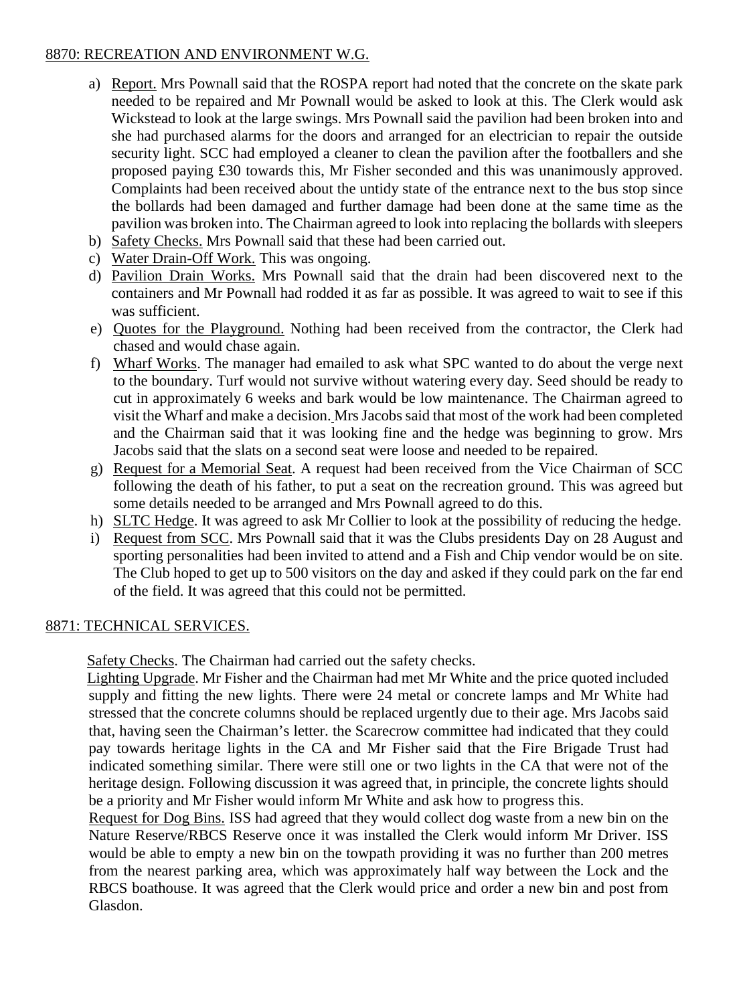## 8870: RECREATION AND ENVIRONMENT W.G.

- a) Report. Mrs Pownall said that the ROSPA report had noted that the concrete on the skate park needed to be repaired and Mr Pownall would be asked to look at this. The Clerk would ask Wickstead to look at the large swings. Mrs Pownall said the pavilion had been broken into and she had purchased alarms for the doors and arranged for an electrician to repair the outside security light. SCC had employed a cleaner to clean the pavilion after the footballers and she proposed paying £30 towards this, Mr Fisher seconded and this was unanimously approved. Complaints had been received about the untidy state of the entrance next to the bus stop since the bollards had been damaged and further damage had been done at the same time as the pavilion was broken into. The Chairman agreed to look into replacing the bollards with sleepers
- b) Safety Checks. Mrs Pownall said that these had been carried out.
- c) Water Drain-Off Work. This was ongoing.
- d) Pavilion Drain Works. Mrs Pownall said that the drain had been discovered next to the containers and Mr Pownall had rodded it as far as possible. It was agreed to wait to see if this was sufficient.
- e) Quotes for the Playground. Nothing had been received from the contractor, the Clerk had chased and would chase again.
- f) Wharf Works. The manager had emailed to ask what SPC wanted to do about the verge next to the boundary. Turf would not survive without watering every day. Seed should be ready to cut in approximately 6 weeks and bark would be low maintenance. The Chairman agreed to visit the Wharf and make a decision. Mrs Jacobs said that most of the work had been completed and the Chairman said that it was looking fine and the hedge was beginning to grow. Mrs Jacobs said that the slats on a second seat were loose and needed to be repaired.
- g) Request for a Memorial Seat. A request had been received from the Vice Chairman of SCC following the death of his father, to put a seat on the recreation ground. This was agreed but some details needed to be arranged and Mrs Pownall agreed to do this.
- h) SLTC Hedge. It was agreed to ask Mr Collier to look at the possibility of reducing the hedge.
- i) Request from SCC. Mrs Pownall said that it was the Clubs presidents Day on 28 August and sporting personalities had been invited to attend and a Fish and Chip vendor would be on site. The Club hoped to get up to 500 visitors on the day and asked if they could park on the far end of the field. It was agreed that this could not be permitted.

### 8871: TECHNICAL SERVICES.

Safety Checks. The Chairman had carried out the safety checks.

 Lighting Upgrade. Mr Fisher and the Chairman had met Mr White and the price quoted included supply and fitting the new lights. There were 24 metal or concrete lamps and Mr White had stressed that the concrete columns should be replaced urgently due to their age. Mrs Jacobs said that, having seen the Chairman's letter. the Scarecrow committee had indicated that they could pay towards heritage lights in the CA and Mr Fisher said that the Fire Brigade Trust had indicated something similar. There were still one or two lights in the CA that were not of the heritage design. Following discussion it was agreed that, in principle, the concrete lights should be a priority and Mr Fisher would inform Mr White and ask how to progress this.

Request for Dog Bins. ISS had agreed that they would collect dog waste from a new bin on the Nature Reserve/RBCS Reserve once it was installed the Clerk would inform Mr Driver. ISS would be able to empty a new bin on the towpath providing it was no further than 200 metres from the nearest parking area, which was approximately half way between the Lock and the RBCS boathouse. It was agreed that the Clerk would price and order a new bin and post from Glasdon.